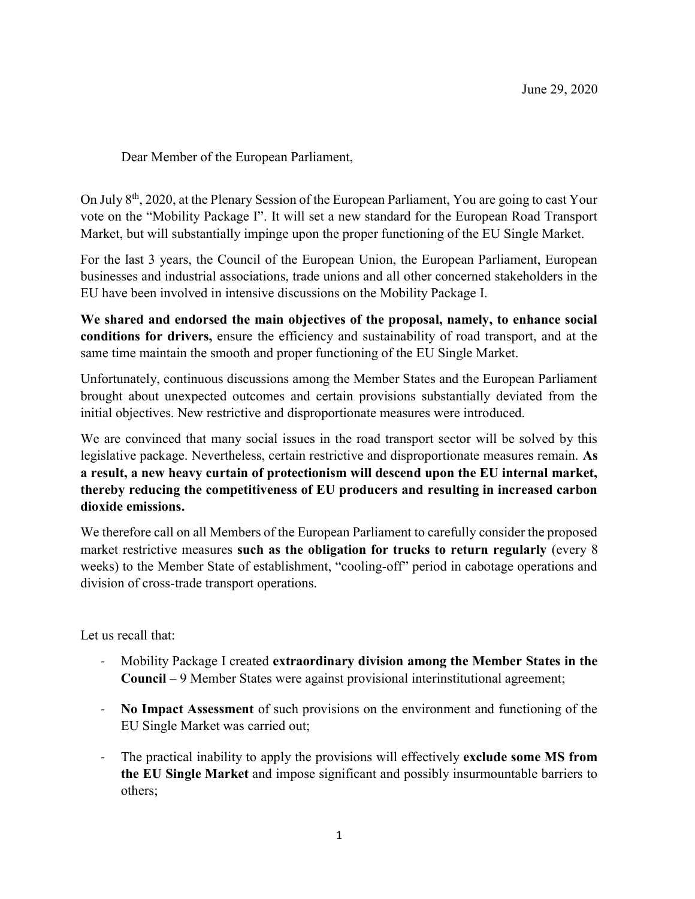Dear Member of the European Parliament,

On July 8th, 2020, at the Plenary Session of the European Parliament, You are going to cast Your vote on the "Mobility Package I". It will set a new standard for the European Road Transport Market, but will substantially impinge upon the proper functioning of the EU Single Market.

For the last 3 years, the Council of the European Union, the European Parliament, European businesses and industrial associations, trade unions and all other concerned stakeholders in the EU have been involved in intensive discussions on the Mobility Package I.

We shared and endorsed the main objectives of the proposal, namely, to enhance social conditions for drivers, ensure the efficiency and sustainability of road transport, and at the same time maintain the smooth and proper functioning of the EU Single Market.

Unfortunately, continuous discussions among the Member States and the European Parliament brought about unexpected outcomes and certain provisions substantially deviated from the initial objectives. New restrictive and disproportionate measures were introduced.

We are convinced that many social issues in the road transport sector will be solved by this legislative package. Nevertheless, certain restrictive and disproportionate measures remain. As a result, a new heavy curtain of protectionism will descend upon the EU internal market, thereby reducing the competitiveness of EU producers and resulting in increased carbon dioxide emissions.

We therefore call on all Members of the European Parliament to carefully consider the proposed market restrictive measures such as the obligation for trucks to return regularly (every 8 weeks) to the Member State of establishment, "cooling-off" period in cabotage operations and division of cross-trade transport operations.

Let us recall that:

- Mobility Package I created extraordinary division among the Member States in the Council – 9 Member States were against provisional interinstitutional agreement;
- No Impact Assessment of such provisions on the environment and functioning of the EU Single Market was carried out;
- The practical inability to apply the provisions will effectively exclude some MS from the EU Single Market and impose significant and possibly insurmountable barriers to others;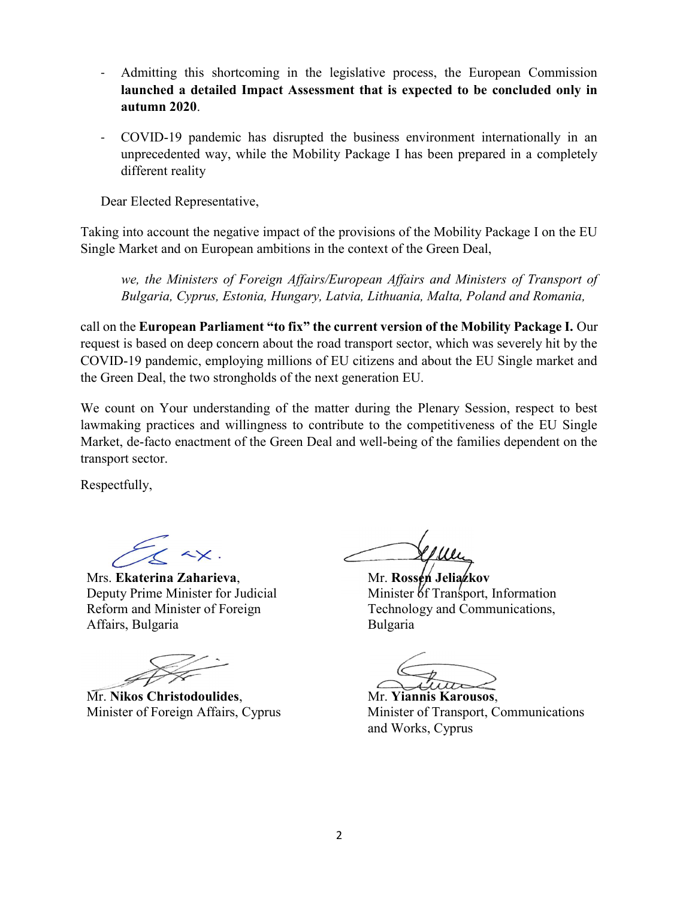- Admitting this shortcoming in the legislative process, the European Commission launched a detailed Impact Assessment that is expected to be concluded only in autumn 2020.
- COVID-19 pandemic has disrupted the business environment internationally in an unprecedented way, while the Mobility Package I has been prepared in a completely different reality

Dear Elected Representative,

Taking into account the negative impact of the provisions of the Mobility Package I on the EU Single Market and on European ambitions in the context of the Green Deal,

we, the Ministers of Foreign Affairs/European Affairs and Ministers of Transport of Bulgaria, Cyprus, Estonia, Hungary, Latvia, Lithuania, Malta, Poland and Romania,

call on the European Parliament "to fix" the current version of the Mobility Package I. Our request is based on deep concern about the road transport sector, which was severely hit by the COVID-19 pandemic, employing millions of EU citizens and about the EU Single market and the Green Deal, the two strongholds of the next generation EU.

We count on Your understanding of the matter during the Plenary Session, respect to best lawmaking practices and willingness to contribute to the competitiveness of the EU Single Market, de-facto enactment of the Green Deal and well-being of the families dependent on the transport sector.

Respectfully,

Mrs. Ekaterina Zaharieva, Mr. Rossen Jeliazkov Deputy Prime Minister for Judicial Reform and Minister of Foreign Affairs, Bulgaria

Mr. Nikos Christodoulides, Mr. Yiannis Karousos,

Minister of Transport, Information Technology and Communications, Bulgaria

Minister of Foreign Affairs, Cyprus Minister of Transport, Communications and Works, Cyprus